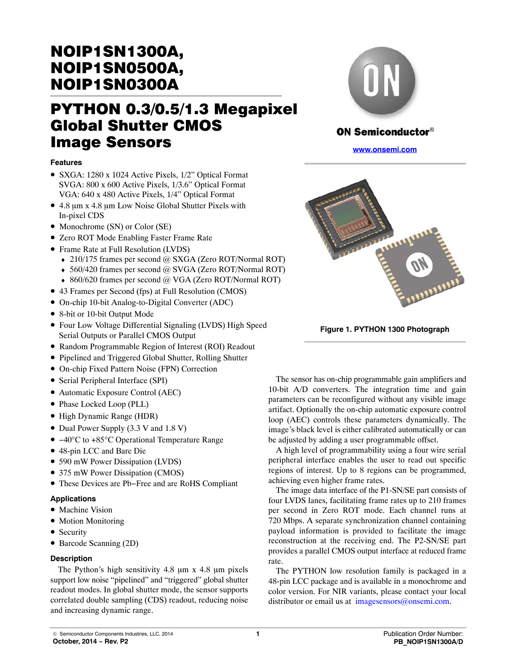# NOIP1SN1300A, NOIP1SN0500A,

# PYTHON 0.3/0.5/1.3 Megapixel **Global Shutter CMOS Image Sensors** -----**--** - - - - - - - - -<br>Esstures

#### **Features**

- SXGA: 1280 x 1024 Active Pixels, 1/2" Optical Format SVGA: 800 x 600 Active Pixels, 1/3.6" Optical Format VGA: 640 x 480 Active Pixels, 1/4" Optical Format
- 4.8 µm x 4.8 µm Low Noise Global Shutter Pixels with In-pixel CDS
- Monochrome (SN) or Color (SE)
- Zero ROT Mode Enabling Faster Frame Rate
- Frame Rate at Full Resolution (LVDS)
	- ♦ 210/175 frames per second @ SXGA (Zero ROT/Normal ROT)
	- ♦ 560/420 frames per second @ SVGA (Zero ROT/Normal ROT)
	- ♦ 860/620 frames per second @ VGA (Zero ROT/Normal ROT)
- 43 Frames per Second (fps) at Full Resolution (CMOS)
- On-chip 10-bit Analog-to-Digital Converter (ADC)
- 8-bit or 10-bit Output Mode
- Four Low Voltage Differential Signaling (LVDS) High Speed Serial Outputs or Parallel CMOS Output
- Random Programmable Region of Interest (ROI) Readout
- Pipelined and Triggered Global Shutter, Rolling Shutter
- On-chip Fixed Pattern Noise (FPN) Correction
- Serial Peripheral Interface (SPI)
- Automatic Exposure Control (AEC)
- Phase Locked Loop (PLL)
- High Dynamic Range (HDR)
- Dual Power Supply (3.3 V and 1.8 V)
- −40°C to +85°C Operational Temperature Range
- 48-pin LCC and Bare Die
- 590 mW Power Dissipation (LVDS)
- 375 mW Power Dissipation (CMOS)
- These Devices are Pb−Free and are RoHS Compliant

#### **Applications**

- Machine Vision
- Motion Monitoring
- Security
- Barcode Scanning (2D)

#### **Description**

The Python's high sensitivity  $4.8 \mu m \times 4.8 \mu m$  pixels support low noise "pipelined" and "triggered" global shutter readout modes. In global shutter mode, the sensor supports correlated double sampling (CDS) readout, reducing noise and increasing dynamic range.



### **ON Semiconductor®**

**www.onsemi.com**



**Figure 1. PYTHON 1300 Photograph**

The sensor has on-chip programmable gain amplifiers and 10-bit A/D converters. The integration time and gain parameters can be reconfigured without any visible image artifact. Optionally the on-chip automatic exposure control loop (AEC) controls these parameters dynamically. The image's black level is either calibrated automatically or can be adjusted by adding a user programmable offset.

A high level of programmability using a four wire serial peripheral interface enables the user to read out specific regions of interest. Up to 8 regions can be programmed, achieving even higher frame rates.

The image data interface of the P1-SN/SE part consists of four LVDS lanes, facilitating frame rates up to 210 frames per second in Zero ROT mode. Each channel runs at 720 Mbps. A separate synchronization channel containing payload information is provided to facilitate the image reconstruction at the receiving end. The P2-SN/SE part provides a parallel CMOS output interface at reduced frame rate.

The PYTHON low resolution family is packaged in a 48-pin LCC package and is available in a monochrome and color version. For NIR variants, please contact your local distributor or email us at imagesensors@onsemi.com.